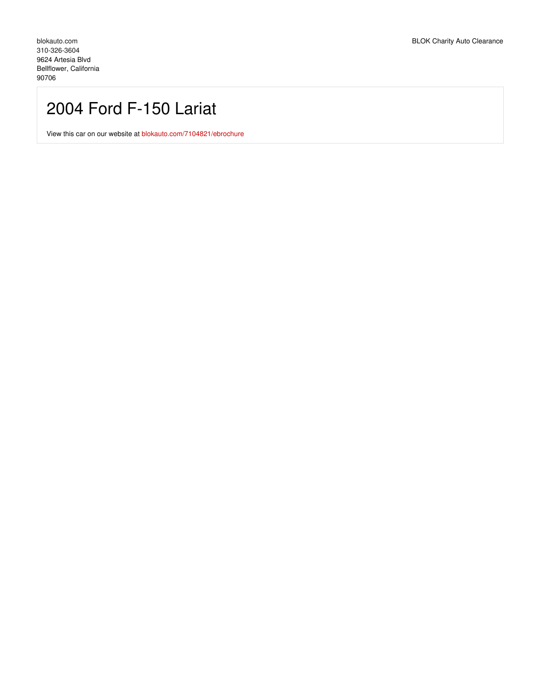## 2004 Ford F-150 Lariat

View this car on our website at [blokauto.com/7104821/ebrochure](https://blokauto.com/vehicle/7104821/2004-ford-f-150-lariat-bellflower-california-90706/7104821/ebrochure)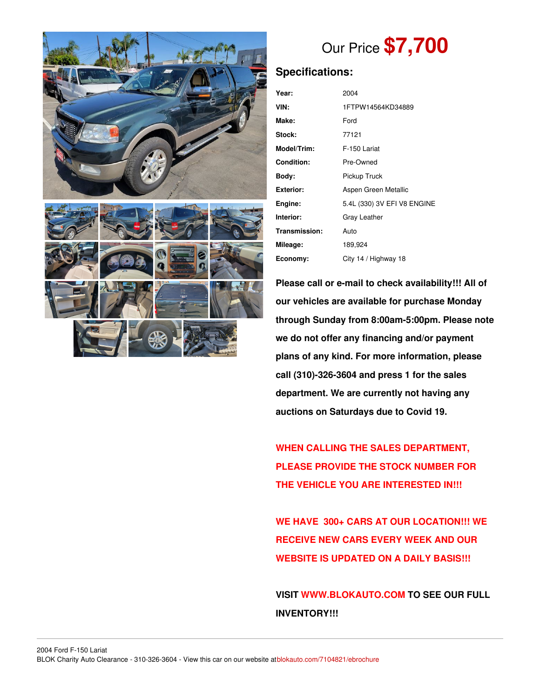

# Our Price **\$7,700**

## **Specifications:**

| Year:              | 2004                        |
|--------------------|-----------------------------|
| VIN:               | 1FTPW14564KD34889           |
| Make:              | Ford                        |
| Stock:             | 77121                       |
| <b>Model/Trim:</b> | F-150 Lariat                |
| Condition:         | Pre-Owned                   |
| Bodv:              | Pickup Truck                |
| Exterior:          | Aspen Green Metallic        |
| Engine:            | 5.4L (330) 3V EFI V8 ENGINE |
| Interior:          | Gray Leather                |
| Transmission:      | Auto                        |
| Mileage:           | 189,924                     |
| Economy:           | City 14 / Highway 18        |

**Please call or e-mail to check availability!!! All of our vehicles are available for purchase Monday through Sunday from 8:00am-5:00pm. Please note we do not offer any financing and/or payment plans of any kind. For more information, please call (310)-326-3604 and press 1 for the sales department. We are currently not having any auctions on Saturdays due to Covid 19.**

**WHEN CALLING THE SALES DEPARTMENT, PLEASE PROVIDE THE STOCK NUMBER FOR THE VEHICLE YOU ARE INTERESTED IN!!!**

**WE HAVE 300+ CARS AT OUR LOCATION!!! WE RECEIVE NEW CARS EVERY WEEK AND OUR WEBSITE IS UPDATED ON A DAILY BASIS!!!**

**VISIT [WWW.BLOKAUTO.COM](http://www.blockauto.com) TO SEE OUR FULL INVENTORY!!!**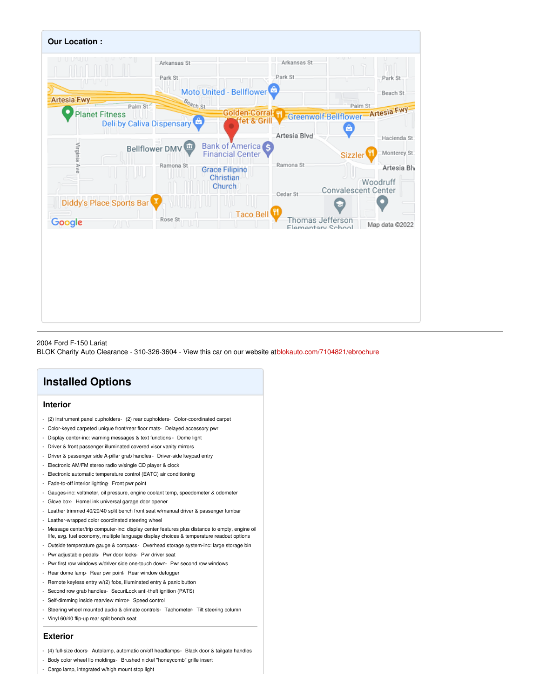

#### 2004 Ford F-150 Lariat

BLOK Charity Auto Clearance - 310-326-3604 - View this car on our website at[blokauto.com/7104821/ebrochure](https://blokauto.com/vehicle/7104821/2004-ford-f-150-lariat-bellflower-california-90706/7104821/ebrochure)

## **Installed Options**

#### **Interior**

- (2) instrument panel cupholders- (2) rear cupholders- Color-coordinated carpet
- Color-keyed carpeted unique front/rear floor mats- Delayed accessory pwr
- Display center-inc: warning messages & text functions Dome light
- Driver & front passenger illuminated covered visor vanity mirrors
- Driver & passenger side A-pillar grab handles Driver-side keypad entry
- Electronic AM/FM stereo radio w/single CD player & clock
- Electronic automatic temperature control (EATC) air conditioning
- Fade-to-off interior lighting- Front pwr point
- Gauges-inc: voltmeter, oil pressure, engine coolant temp, speedometer & odometer
- Glove box- HomeLink universal garage door opener
- Leather trimmed 40/20/40 split bench front seat w/manual driver & passenger lumbar
- Leather-wrapped color coordinated steering wheel
- Message center/trip computer-inc: display center features plus distance to empty, engine oil life, avg. fuel economy, multiple language display choices & temperature readout options
- Outside temperature gauge & compass- Overhead storage system-inc: large storage bin
- Pwr adjustable pedals- Pwr door locks- Pwr driver seat
- Pwr first row windows w/driver side one-touch down- Pwr second row windows
- Rear dome lamp- Rear pwr point- Rear window defogger
- Remote keyless entry w/(2) fobs, illuminated entry & panic button
- Second row grab handles- SecuriLock anti-theft ignition (PATS)
- Self-dimming inside rearview mirror- Speed control
- Steering wheel mounted audio & climate controls- Tachometer- Tilt steering column
- Vinyl 60/40 flip-up rear split bench seat

#### **Exterior**

- (4) full-size doors- Autolamp, automatic on/off headlamps- Black door & tailgate handles
- Body color wheel lip moldings- Brushed nickel "honeycomb" grille insert
- Cargo lamp, integrated w/high mount stop light